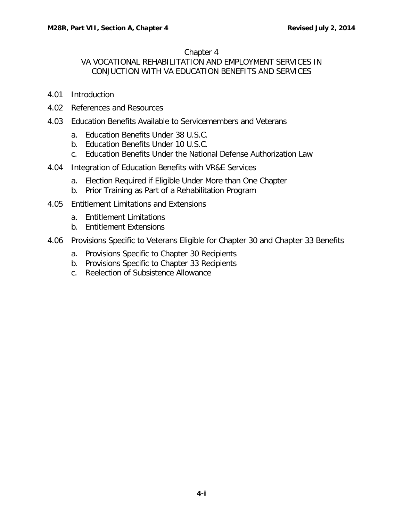## Chapter 4

## VA VOCATIONAL REHABILITATION AND EMPLOYMENT SERVICES IN CONJUCTION WITH VA EDUCATION BENEFITS AND SERVICES

- 4.01 [Introduction](#page-1-0)
- 4.02 [References and Resources](#page-1-1)
- 4.03 [Education Benefits Available to Servicemembers and Veterans](#page-1-2)
	- a. Education [Benefits Under](#page-1-3) 38 U.S.C.
	- b. Education [Benefits Under](#page-3-0) 10 U.S.C.
	- c. Education Benefits Under the National [Defense Authorization](#page-4-0) Law
- 4.04 [Integration of Education Benefits with VR&E Services](#page-4-1)
	- a. Election Required if [Eligible Under](#page-5-0) More than One Chapter
	- b. Prior Training as Part of a [Rehabilitation](#page-5-1) Program
- 4.05 [Entitlement Limitations and Extensions](#page-5-2)
	- a. [Entitlement](#page-6-0) Limitations
	- b. [Entitlement](#page-6-1) Extensions
- 4.06 [Provisions Specific to Veterans Eligible for Chapter 30 and Chapter 33 Benefits](#page-8-0)
	- a. [Provisions Specific](#page-8-1) to Chapter 30 Recipients
	- b. [Provisions Specific](#page-9-0) to Chapter 33 Recipients
	- c. Reelection of [Subsistence Allowance](#page-9-1)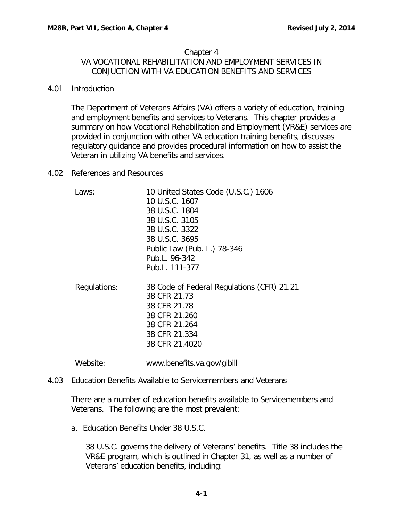## Chapter 4 VA VOCATIONAL REHABILITATION AND EMPLOYMENT SERVICES IN CONJUCTION WITH VA EDUCATION BENEFITS AND SERVICES

<span id="page-1-0"></span>4.01 Introduction

The Department of Veterans Affairs (VA) offers a variety of education, training and employment benefits and services to Veterans. This chapter provides a summary on how Vocational Rehabilitation and Employment (VR&E) services are provided in conjunction with other VA education training benefits, discusses regulatory guidance and provides procedural information on how to assist the Veteran in utilizing VA benefits and services.

<span id="page-1-1"></span>4.02 References and Resources

| Laws:        | 10 United States Code (U.S.C.) 1606<br>10 U.S.C. 1607<br>38 U.S.C. 1804<br>38 U.S.C. 3105<br>38 U.S.C. 3322<br>38 U.S.C. 3695<br>Public Law (Pub. L.) 78-346<br>Pub.L. 96-342<br>Pub.L. 111-377 |
|--------------|-------------------------------------------------------------------------------------------------------------------------------------------------------------------------------------------------|
| Regulations: | 38 Code of Federal Regulations (CFR) 21.21<br>38 CFR 21.73<br>38 CFR 21.78<br>38 CFR 21.260<br>38 CFR 21.264<br>38 CFR 21.334<br>38 CFR 21.4020                                                 |
| Website:     | www.benefits.va.gov/gibill                                                                                                                                                                      |

<span id="page-1-2"></span>4.03 Education Benefits Available to Servicemembers and Veterans

There are a number of education benefits available to Servicemembers and Veterans. The following are the most prevalent:

<span id="page-1-3"></span>a. Education Benefits Under 38 U.S.C.

38 U.S.C. governs the delivery of Veterans' benefits. Title 38 includes the VR&E program, which is outlined in Chapter 31, as well as a number of Veterans' education benefits, including: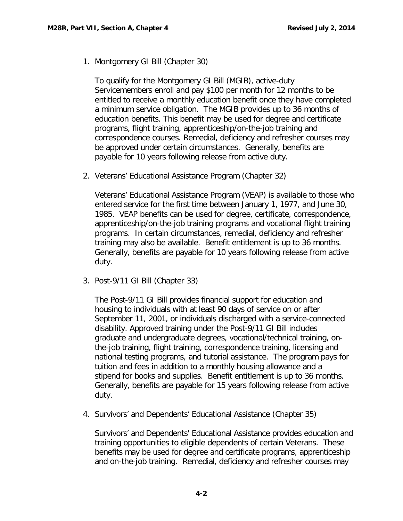1. Montgomery GI Bill (Chapter 30)

To qualify for the Montgomery GI Bill (MGIB), active-duty Servicemembers enroll and pay \$100 per month for 12 months to be entitled to receive a monthly education benefit once they have completed a minimum service obligation. The MGIB provides up to 36 months of education benefits. This benefit may be used for degree and certificate programs, flight training, apprenticeship/on-the-job training and correspondence courses. Remedial, deficiency and refresher courses may be approved under certain circumstances. Generally, benefits are payable for 10 years following release from active duty.

2. Veterans' Educational Assistance Program (Chapter 32)

Veterans' Educational Assistance Program (VEAP) is available to those who entered service for the first time between January 1, 1977, and June 30, 1985. VEAP benefits can be used for degree, certificate, correspondence, apprenticeship/on-the-job training programs and vocational flight training programs. In certain circumstances, remedial, deficiency and refresher training may also be available. Benefit entitlement is up to 36 months. Generally, benefits are payable for 10 years following release from active duty.

3. Post-9/11 GI Bill (Chapter 33)

The Post-9/11 GI Bill provides financial support for education and housing to individuals with at least 90 days of service on or after September 11, 2001, or individuals discharged with a service-connected disability. Approved training under the Post-9/11 GI Bill includes graduate and undergraduate degrees, vocational/technical training, onthe-job training, flight training, correspondence training, licensing and national testing programs, and tutorial assistance. The program pays for tuition and fees in addition to a monthly housing allowance and a stipend for books and supplies. Benefit entitlement is up to 36 months. Generally, benefits are payable for 15 years following release from active duty.

4. Survivors' and Dependents' Educational Assistance (Chapter 35)

Survivors' and Dependents' Educational Assistance provides education and training opportunities to eligible dependents of certain Veterans. These benefits may be used for degree and certificate programs, apprenticeship and on-the-job training. Remedial, deficiency and refresher courses may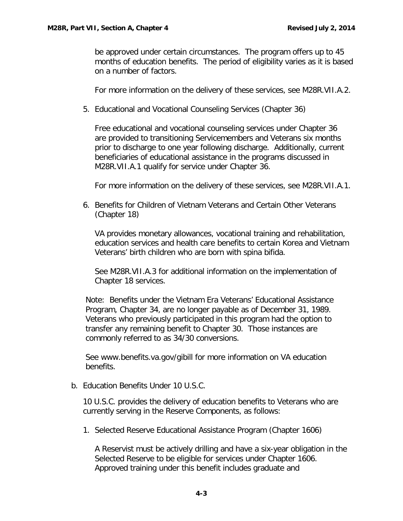be approved under certain circumstances. The program offers up to 45 months of education benefits. The period of eligibility varies as it is based on a number of factors.

For more information on the delivery of these services, see M28R.VII.A.2.

5. Educational and Vocational Counseling Services (Chapter 36)

Free educational and vocational counseling services under Chapter 36 are provided to transitioning Servicemembers and Veterans six months prior to discharge to one year following discharge. Additionally, current beneficiaries of educational assistance in the programs discussed in M28R.VII.A.1 qualify for service under Chapter 36.

For more information on the delivery of these services, see M28R.VII.A.1.

6. Benefits for Children of Vietnam Veterans and Certain Other Veterans (Chapter 18)

VA provides monetary allowances, vocational training and rehabilitation, education services and health care benefits to certain Korea and Vietnam Veterans' birth children who are born with spina bifida.

See M28R.VII.A.3 for additional information on the implementation of Chapter 18 services.

Note: Benefits under the Vietnam Era Veterans' Educational Assistance Program, Chapter 34, are no longer payable as of December 31, 1989. Veterans who previously participated in this program had the option to transfer any remaining benefit to Chapter 30. Those instances are commonly referred to as 34/30 conversions.

See www.benefits.va.gov/gibill for more information on VA education benefits.

<span id="page-3-0"></span>b. Education Benefits Under 10 U.S.C.

10 U.S.C. provides the delivery of education benefits to Veterans who are currently serving in the Reserve Components, as follows:

1. Selected Reserve Educational Assistance Program (Chapter 1606)

A Reservist must be actively drilling and have a six-year obligation in the Selected Reserve to be eligible for services under Chapter 1606. Approved training under this benefit includes graduate and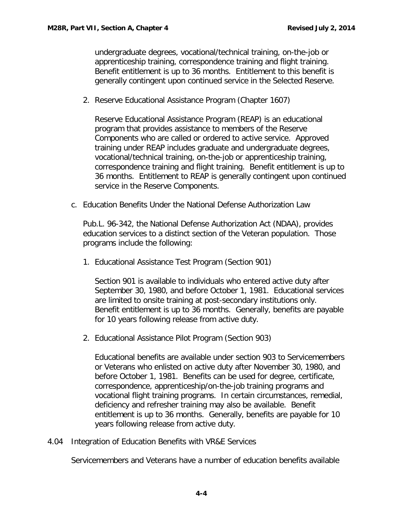undergraduate degrees, vocational/technical training, on-the-job or apprenticeship training, correspondence training and flight training. Benefit entitlement is up to 36 months. Entitlement to this benefit is generally contingent upon continued service in the Selected Reserve.

2. Reserve Educational Assistance Program (Chapter 1607)

Reserve Educational Assistance Program (REAP) is an educational program that provides assistance to members of the Reserve Components who are called or ordered to active service. Approved training under REAP includes graduate and undergraduate degrees, vocational/technical training, on-the-job or apprenticeship training, correspondence training and flight training. Benefit entitlement is up to 36 months. Entitlement to REAP is generally contingent upon continued service in the Reserve Components.

<span id="page-4-0"></span>c. Education Benefits Under the National Defense Authorization Law

Pub.L. 96-342, the National Defense Authorization Act (NDAA), provides education services to a distinct section of the Veteran population. Those programs include the following:

1. Educational Assistance Test Program (Section 901)

Section 901 is available to individuals who entered active duty after September 30, 1980, and before October 1, 1981. Educational services are limited to onsite training at post-secondary institutions only. Benefit entitlement is up to 36 months. Generally, benefits are payable for 10 years following release from active duty.

2. Educational Assistance Pilot Program (Section 903)

Educational benefits are available under section 903 to Servicemembers or Veterans who enlisted on active duty after November 30, 1980, and before October 1, 1981. Benefits can be used for degree, certificate, correspondence, apprenticeship/on-the-job training programs and vocational flight training programs. In certain circumstances, remedial, deficiency and refresher training may also be available. Benefit entitlement is up to 36 months. Generally, benefits are payable for 10 years following release from active duty.

<span id="page-4-1"></span>4.04 Integration of Education Benefits with VR&E Services

Servicemembers and Veterans have a number of education benefits available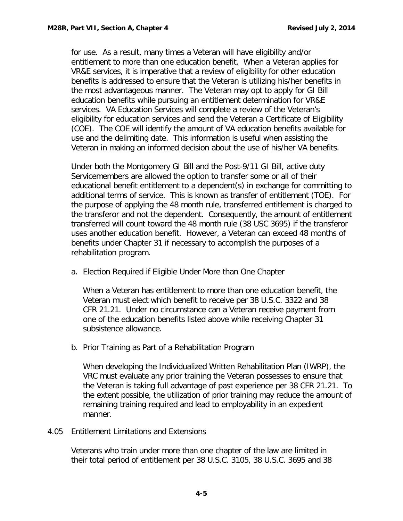for use. As a result, many times a Veteran will have eligibility and/or entitlement to more than one education benefit. When a Veteran applies for VR&E services, it is imperative that a review of eligibility for other education benefits is addressed to ensure that the Veteran is utilizing his/her benefits in the most advantageous manner. The Veteran may opt to apply for GI Bill education benefits while pursuing an entitlement determination for VR&E services. VA Education Services will complete a review of the Veteran's eligibility for education services and send the Veteran a Certificate of Eligibility (COE). The COE will identify the amount of VA education benefits available for use and the delimiting date. This information is useful when assisting the Veteran in making an informed decision about the use of his/her VA benefits.

Under both the Montgomery GI Bill and the Post-9/11 GI Bill, active duty Servicemembers are allowed the option to transfer some or all of their educational benefit entitlement to a dependent(s) in exchange for committing to additional terms of service. This is known as transfer of entitlement (TOE). For the purpose of applying the 48 month rule, transferred entitlement is charged to the transferor and not the dependent. Consequently, the amount of entitlement transferred will count toward the 48 month rule (38 USC 3695) if the transferor uses another education benefit. However, a Veteran can exceed 48 months of benefits under Chapter 31 if necessary to accomplish the purposes of a rehabilitation program.

<span id="page-5-0"></span>a. Election Required if Eligible Under More than One Chapter

When a Veteran has entitlement to more than one education benefit, the Veteran must elect which benefit to receive per 38 U.S.C. 3322 and 38 CFR 21.21. Under no circumstance can a Veteran receive payment from one of the education benefits listed above while receiving Chapter 31 subsistence allowance.

<span id="page-5-1"></span>b. Prior Training as Part of a Rehabilitation Program

When developing the Individualized Written Rehabilitation Plan (IWRP), the VRC must evaluate any prior training the Veteran possesses to ensure that the Veteran is taking full advantage of past experience per 38 CFR 21.21. To the extent possible, the utilization of prior training may reduce the amount of remaining training required and lead to employability in an expedient manner.

## <span id="page-5-2"></span>4.05 Entitlement Limitations and Extensions

Veterans who train under more than one chapter of the law are limited in their total period of entitlement per 38 U.S.C. 3105, 38 U.S.C. 3695 and 38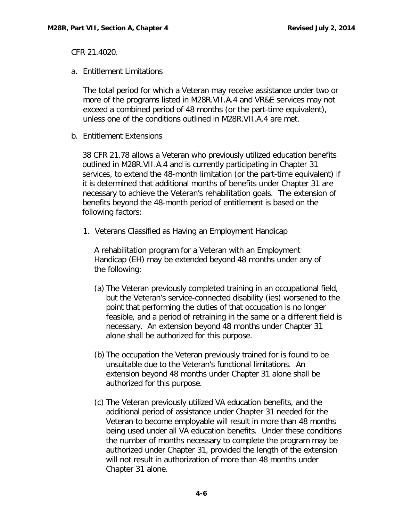CFR 21.4020.

<span id="page-6-0"></span>a. Entitlement Limitations

The total period for which a Veteran may receive assistance under two or more of the programs listed in M28R.VII.A.4 and VR&E services may not exceed a combined period of 48 months (or the part-time equivalent), unless one of the conditions outlined in M28R.VII.A.4 are met.

<span id="page-6-1"></span>b. Entitlement Extensions

38 CFR 21.78 allows a Veteran who previously utilized education benefits outlined in M28R.VII.A.4 and is currently participating in Chapter 31 services, to extend the 48-month limitation (or the part-time equivalent) if it is determined that additional months of benefits under Chapter 31 are necessary to achieve the Veteran's rehabilitation goals. The extension of benefits beyond the 48-month period of entitlement is based on the following factors:

1. Veterans Classified as Having an Employment Handicap

A rehabilitation program for a Veteran with an Employment Handicap (EH) may be extended beyond 48 months under any of the following:

- (a) The Veteran previously completed training in an occupational field, but the Veteran's service-connected disability (ies) worsened to the point that performing the duties of that occupation is no longer feasible, and a period of retraining in the same or a different field is necessary. An extension beyond 48 months under Chapter 31 alone shall be authorized for this purpose.
- (b) The occupation the Veteran previously trained for is found to be unsuitable due to the Veteran's functional limitations. An extension beyond 48 months under Chapter 31 alone shall be authorized for this purpose.
- (c) The Veteran previously utilized VA education benefits, and the additional period of assistance under Chapter 31 needed for the Veteran to become employable will result in more than 48 months being used under all VA education benefits. Under these conditions the number of months necessary to complete the program may be authorized under Chapter 31, provided the length of the extension will not result in authorization of more than 48 months under Chapter 31 alone.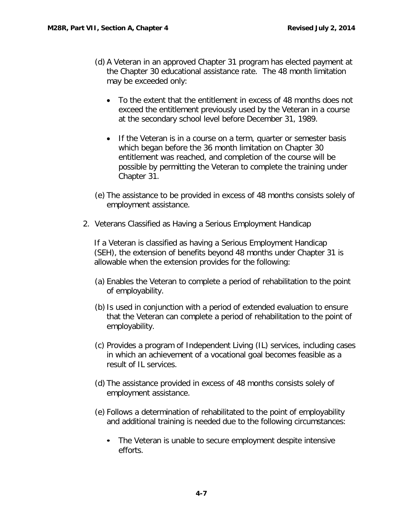- (d) A Veteran in an approved Chapter 31 program has elected payment at the Chapter 30 educational assistance rate. The 48 month limitation may be exceeded only:
	- To the extent that the entitlement in excess of 48 months does not exceed the entitlement previously used by the Veteran in a course at the secondary school level before December 31, 1989.
	- If the Veteran is in a course on a term, quarter or semester basis which began before the 36 month limitation on Chapter 30 entitlement was reached, and completion of the course will be possible by permitting the Veteran to complete the training under Chapter 31.
- (e) The assistance to be provided in excess of 48 months consists solely of employment assistance.
- 2. Veterans Classified as Having a Serious Employment Handicap

If a Veteran is classified as having a Serious Employment Handicap (SEH), the extension of benefits beyond 48 months under Chapter 31 is allowable when the extension provides for the following:

- (a) Enables the Veteran to complete a period of rehabilitation to the point of employability.
- (b)Is used in conjunction with a period of extended evaluation to ensure that the Veteran can complete a period of rehabilitation to the point of employability.
- (c) Provides a program of Independent Living (IL) services, including cases in which an achievement of a vocational goal becomes feasible as a result of IL services.
- (d) The assistance provided in excess of 48 months consists solely of employment assistance.
- (e) Follows a determination of rehabilitated to the point of employability and additional training is needed due to the following circumstances:
	- The Veteran is unable to secure employment despite intensive efforts.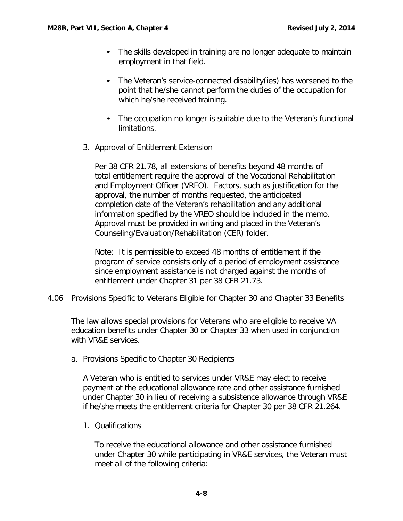- The skills developed in training are no longer adequate to maintain employment in that field.
- The Veteran's service-connected disability(ies) has worsened to the point that he/she cannot perform the duties of the occupation for which he/she received training.
- The occupation no longer is suitable due to the Veteran's functional limitations.
- 3. Approval of Entitlement Extension

Per 38 CFR 21.78, all extensions of benefits beyond 48 months of total entitlement require the approval of the Vocational Rehabilitation and Employment Officer (VREO). Factors, such as justification for the approval, the number of months requested, the anticipated completion date of the Veteran's rehabilitation and any additional information specified by the VREO should be included in the memo. Approval must be provided in writing and placed in the Veteran's Counseling/Evaluation/Rehabilitation (CER) folder.

Note: It is permissible to exceed 48 months of entitlement if the program of service consists only of a period of employment assistance since employment assistance is not charged against the months of entitlement under Chapter 31 per 38 CFR 21.73.

<span id="page-8-0"></span>4.06 Provisions Specific to Veterans Eligible for Chapter 30 and Chapter 33 Benefits

The law allows special provisions for Veterans who are eligible to receive VA education benefits under Chapter 30 or Chapter 33 when used in conjunction with VR&E services.

<span id="page-8-1"></span>a. Provisions Specific to Chapter 30 Recipients

A Veteran who is entitled to services under VR&E may elect to receive payment at the educational allowance rate and other assistance furnished under Chapter 30 in lieu of receiving a subsistence allowance through VR&E if he/she meets the entitlement criteria for Chapter 30 per 38 CFR 21.264.

1. Qualifications

To receive the educational allowance and other assistance furnished under Chapter 30 while participating in VR&E services, the Veteran must meet all of the following criteria: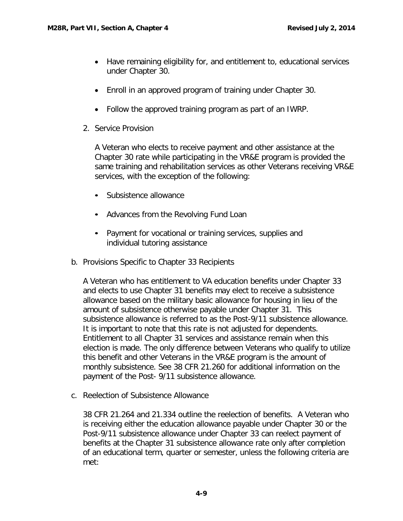- Have remaining eligibility for, and entitlement to, educational services under Chapter 30.
- Enroll in an approved program of training under Chapter 30.
- Follow the approved training program as part of an IWRP.
- 2. Service Provision

A Veteran who elects to receive payment and other assistance at the Chapter 30 rate while participating in the VR&E program is provided the same training and rehabilitation services as other Veterans receiving VR&E services, with the exception of the following:

- Subsistence allowance
- Advances from the Revolving Fund Loan
- Payment for vocational or training services, supplies and individual tutoring assistance
- <span id="page-9-0"></span>b. Provisions Specific to Chapter 33 Recipients

A Veteran who has entitlement to VA education benefits under Chapter 33 and elects to use Chapter 31 benefits may elect to receive a subsistence allowance based on the military basic allowance for housing in lieu of the amount of subsistence otherwise payable under Chapter 31. This subsistence allowance is referred to as the Post-9/11 subsistence allowance. It is important to note that this rate is not adjusted for dependents. Entitlement to all Chapter 31 services and assistance remain when this election is made. The only difference between Veterans who qualify to utilize this benefit and other Veterans in the VR&E program is the amount of monthly subsistence. See 38 CFR 21.260 for additional information on the payment of the Post- 9/11 subsistence allowance.

<span id="page-9-1"></span>c. Reelection of Subsistence Allowance

38 CFR 21.264 and 21.334 outline the reelection of benefits. A Veteran who is receiving either the education allowance payable under Chapter 30 or the Post-9/11 subsistence allowance under Chapter 33 can reelect payment of benefits at the Chapter 31 subsistence allowance rate only after completion of an educational term, quarter or semester, unless the following criteria are met: